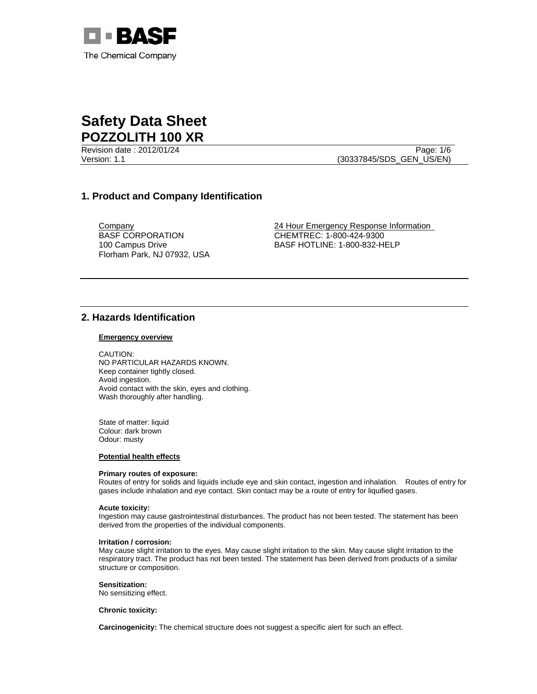

Version: 1.1 (30337845/SDS\_GEN\_US/EN)

Revision date : 2012/01/24 Page: 1/6

# **1. Product and Company Identification**

BASF CORPORATION 100 Campus Drive Florham Park, NJ 07932, USA

Company 24 Hour Emergency Response Information CHEMTREC: 1-800-424-9300 BASF HOTLINE: 1-800-832-HELP

# **2. Hazards Identification**

#### **Emergency overview**

CAUTION: NO PARTICULAR HAZARDS KNOWN. Keep container tightly closed. Avoid ingestion. Avoid contact with the skin, eyes and clothing. Wash thoroughly after handling.

State of matter: liquid Colour: dark brown Odour: musty

### **Potential health effects**

#### **Primary routes of exposure:**

Routes of entry for solids and liquids include eye and skin contact, ingestion and inhalation. Routes of entry for gases include inhalation and eye contact. Skin contact may be a route of entry for liquified gases.

#### **Acute toxicity:**

Ingestion may cause gastrointestinal disturbances. The product has not been tested. The statement has been derived from the properties of the individual components.

#### **Irritation / corrosion:**

May cause slight irritation to the eyes. May cause slight irritation to the skin. May cause slight irritation to the respiratory tract. The product has not been tested. The statement has been derived from products of a similar structure or composition.

#### **Sensitization:**

No sensitizing effect.

#### **Chronic toxicity:**

**Carcinogenicity:** The chemical structure does not suggest a specific alert for such an effect.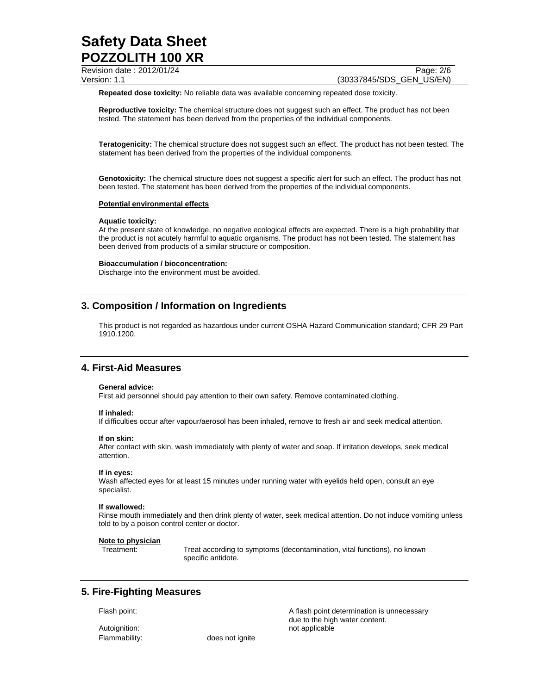| Revision date: 2012/01/24 | Page: 2/6                |
|---------------------------|--------------------------|
| Version: 1.1              | (30337845/SDS GEN US/EN) |

**Repeated dose toxicity:** No reliable data was available concerning repeated dose toxicity.

**Reproductive toxicity:** The chemical structure does not suggest such an effect. The product has not been tested. The statement has been derived from the properties of the individual components.

**Teratogenicity:** The chemical structure does not suggest such an effect. The product has not been tested. The statement has been derived from the properties of the individual components.

**Genotoxicity:** The chemical structure does not suggest a specific alert for such an effect. The product has not been tested. The statement has been derived from the properties of the individual components.

#### **Potential environmental effects**

#### **Aquatic toxicity:**

At the present state of knowledge, no negative ecological effects are expected. There is a high probability that the product is not acutely harmful to aquatic organisms. The product has not been tested. The statement has been derived from products of a similar structure or composition.

#### **Bioaccumulation / bioconcentration:**

Discharge into the environment must be avoided.

# **3. Composition / Information on Ingredients**

This product is not regarded as hazardous under current OSHA Hazard Communication standard; CFR 29 Part 1910.1200.

# **4. First-Aid Measures**

#### **General advice:**

First aid personnel should pay attention to their own safety. Remove contaminated clothing.

#### **If inhaled:**

If difficulties occur after vapour/aerosol has been inhaled, remove to fresh air and seek medical attention.

#### **If on skin:**

After contact with skin, wash immediately with plenty of water and soap. If irritation develops, seek medical attention.

#### **If in eyes:**

Wash affected eyes for at least 15 minutes under running water with eyelids held open, consult an eye specialist.

## **If swallowed:**

Rinse mouth immediately and then drink plenty of water, seek medical attention. Do not induce vomiting unless told to by a poison control center or doctor.

#### **Note to physician**

Treatment: Treat according to symptoms (decontamination, vital functions), no known specific antidote.

# **5. Fire-Fighting Measures**

Flammability: does not ignite

Flash point: Flash point: A flash point determination is unnecessary due to the high water content. Autoignition: not applicable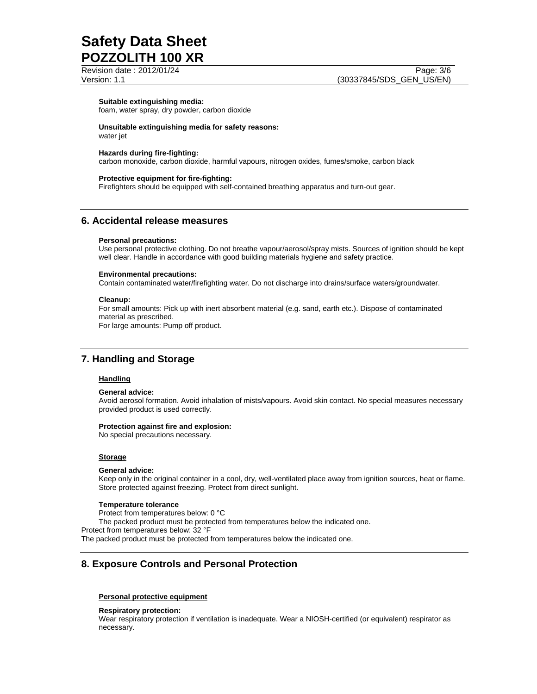Revision date : 2012/01/24 Page: 3/6

## **Suitable extinguishing media:**

foam, water spray, dry powder, carbon dioxide

## **Unsuitable extinguishing media for safety reasons:**

water jet

## **Hazards during fire-fighting:**

carbon monoxide, carbon dioxide, harmful vapours, nitrogen oxides, fumes/smoke, carbon black

#### **Protective equipment for fire-fighting:**

Firefighters should be equipped with self-contained breathing apparatus and turn-out gear.

## **6. Accidental release measures**

#### **Personal precautions:**

Use personal protective clothing. Do not breathe vapour/aerosol/spray mists. Sources of ignition should be kept well clear. Handle in accordance with good building materials hygiene and safety practice.

#### **Environmental precautions:**

Contain contaminated water/firefighting water. Do not discharge into drains/surface waters/groundwater.

#### **Cleanup:**

For small amounts: Pick up with inert absorbent material (e.g. sand, earth etc.). Dispose of contaminated material as prescribed.

For large amounts: Pump off product.

## **7. Handling and Storage**

## **Handling**

#### **General advice:**

Avoid aerosol formation. Avoid inhalation of mists/vapours. Avoid skin contact. No special measures necessary provided product is used correctly.

#### **Protection against fire and explosion:**

No special precautions necessary.

#### **Storage**

#### **General advice:**

Keep only in the original container in a cool, dry, well-ventilated place away from ignition sources, heat or flame. Store protected against freezing. Protect from direct sunlight.

#### **Temperature tolerance**

Protect from temperatures below: 0 °C

The packed product must be protected from temperatures below the indicated one.

Protect from temperatures below: 32 °F

The packed product must be protected from temperatures below the indicated one.

## **8. Exposure Controls and Personal Protection**

#### **Personal protective equipment**

**Respiratory protection:**

Wear respiratory protection if ventilation is inadequate. Wear a NIOSH-certified (or equivalent) respirator as necessary.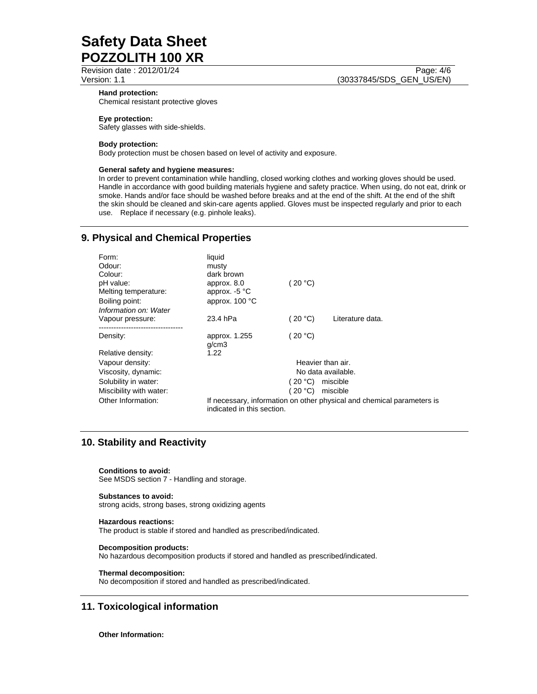Revision date : 2012/01/24 Page: 4/6

#### **Hand protection:**

Chemical resistant protective gloves

## **Eye protection:**

Safety glasses with side-shields.

### **Body protection:**

Body protection must be chosen based on level of activity and exposure.

### **General safety and hygiene measures:**

In order to prevent contamination while handling, closed working clothes and working gloves should be used. Handle in accordance with good building materials hygiene and safety practice. When using, do not eat, drink or smoke. Hands and/or face should be washed before breaks and at the end of the shift. At the end of the shift the skin should be cleaned and skin-care agents applied. Gloves must be inspected regularly and prior to each use. Replace if necessary (e.g. pinhole leaks).

# **9. Physical and Chemical Properties**

| Form:                   | liquid                                                                                               |            |                   |
|-------------------------|------------------------------------------------------------------------------------------------------|------------|-------------------|
| Odour:                  | musty                                                                                                |            |                   |
| Colour:                 | dark brown                                                                                           |            |                   |
| pH value:               | approx. 8.0                                                                                          | 20 °C)     |                   |
| Melting temperature:    | approx. $-5$ °C                                                                                      |            |                   |
| Boiling point:          | approx. 100 °C                                                                                       |            |                   |
| Information on: Water   |                                                                                                      |            |                   |
| Vapour pressure:        | 23.4 hPa                                                                                             | (20 °C)    | Literature data.  |
| Density:                | approx. 1.255<br>q/cm3                                                                               | 20 °C      |                   |
| Relative density:       | 1.22                                                                                                 |            |                   |
| Vapour density:         |                                                                                                      |            | Heavier than air. |
| Viscosity, dynamic:     | No data available.                                                                                   |            |                   |
| Solubility in water:    |                                                                                                      | 20 °C)     | miscible          |
| Miscibility with water: |                                                                                                      | ( 20 °C) = | miscible          |
| Other Information:      | If necessary, information on other physical and chemical parameters is<br>indicated in this section. |            |                   |

# **10. Stability and Reactivity**

**Conditions to avoid:**

See MSDS section 7 - Handling and storage.

## **Substances to avoid:**

strong acids, strong bases, strong oxidizing agents

## **Hazardous reactions:**

The product is stable if stored and handled as prescribed/indicated.

## **Decomposition products:**

No hazardous decomposition products if stored and handled as prescribed/indicated.

## **Thermal decomposition:**

No decomposition if stored and handled as prescribed/indicated.

# **11. Toxicological information**

**Other Information:**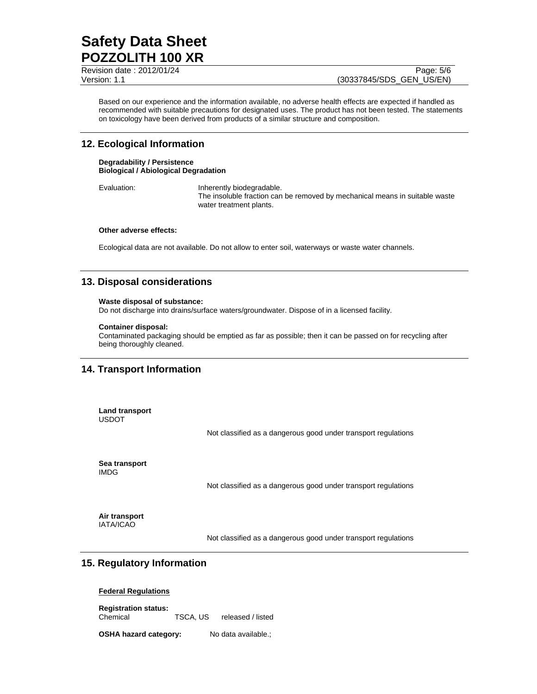Revision date : 2012/01/24 Page: 5/6

Based on our experience and the information available, no adverse health effects are expected if handled as recommended with suitable precautions for designated uses. The product has not been tested. The statements on toxicology have been derived from products of a similar structure and composition.

# **12. Ecological Information**

## **Degradability / Persistence Biological / Abiological Degradation**

Evaluation: **Inherently biodegradable.** The insoluble fraction can be removed by mechanical means in suitable waste water treatment plants.

## **Other adverse effects:**

Ecological data are not available. Do not allow to enter soil, waterways or waste water channels.

# **13. Disposal considerations**

## **Waste disposal of substance:**

Do not discharge into drains/surface waters/groundwater. Dispose of in a licensed facility.

## **Container disposal:**

Contaminated packaging should be emptied as far as possible; then it can be passed on for recycling after being thoroughly cleaned.

# **14. Transport Information**

**Land transport**  USDOT

Not classified as a dangerous good under transport regulations

**Sea transport**  IMDG

Not classified as a dangerous good under transport regulations

**Air transport**  IATA/ICAO

Not classified as a dangerous good under transport regulations

# **15. Regulatory Information**

## **Federal Regulations**

**Registration status:**  Chemical TSCA, US released / listed

**OSHA hazard category:** No data available.;